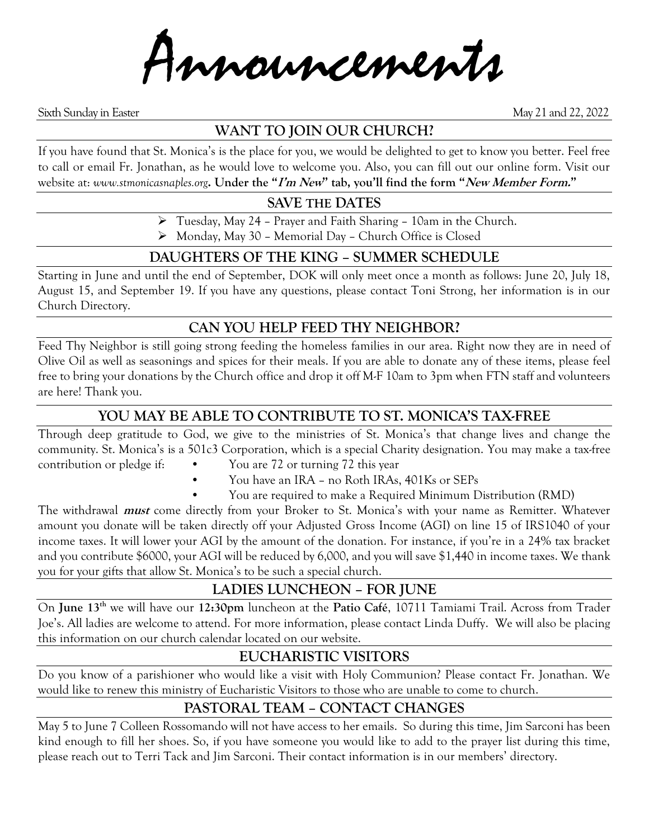Innouncements

Sixth Sunday in Easter May 21 and 22, 2022

### **WANT TO JOIN OUR CHURCH?**

If you have found that St. Monica's is the place for you, we would be delighted to get to know you better. Feel free to call or email Fr. Jonathan, as he would love to welcome you. Also, you can fill out our online form. Visit our website at: *www.stmonicasnaples.org***. Under the "I'm New" tab, you'll find the form "New Member Form."**

### **SAVE THE DATES**

➢ Tuesday, May 24 – Prayer and Faith Sharing – 10am in the Church.

➢ Monday, May 30 – Memorial Day – Church Office is Closed

### **DAUGHTERS OF THE KING – SUMMER SCHEDULE**

Starting in June and until the end of September, DOK will only meet once a month as follows: June 20, July 18, August 15, and September 19. If you have any questions, please contact Toni Strong, her information is in our Church Directory.

### **CAN YOU HELP FEED THY NEIGHBOR?**

Feed Thy Neighbor is still going strong feeding the homeless families in our area. Right now they are in need of Olive Oil as well as seasonings and spices for their meals. If you are able to donate any of these items, please feel free to bring your donations by the Church office and drop it off M-F 10am to 3pm when FTN staff and volunteers are here! Thank you.

### **YOU MAY BE ABLE TO CONTRIBUTE TO ST. MONICA'S TAX-FREE**

Through deep gratitude to God, we give to the ministries of St. Monica's that change lives and change the community. St. Monica's is a 501c3 Corporation, which is a special Charity designation. You may make a tax-free contribution or pledge if: • You are 72 or turning 72 this year

- You have an IRA no Roth IRAs, 401Ks or SEPs
- You are required to make a Required Minimum Distribution (RMD)

The withdrawal **must** come directly from your Broker to St. Monica's with your name as Remitter. Whatever amount you donate will be taken directly off your Adjusted Gross Income (AGI) on line 15 of IRS1040 of your income taxes. It will lower your AGI by the amount of the donation. For instance, if you're in a 24% tax bracket and you contribute \$6000, your AGI will be reduced by 6,000, and you will save \$1,440 in income taxes. We thank you for your gifts that allow St. Monica's to be such a special church.

### **LADIES LUNCHEON – FOR JUNE**

On **June 13th** we will have our **12:30pm** luncheon at the **Patio Café**, 10711 Tamiami Trail. Across from Trader Joe's. All ladies are welcome to attend. For more information, please contact Linda Duffy. We will also be placing this information on our church calendar located on our website.

### **EUCHARISTIC VISITORS**

Do you know of a parishioner who would like a visit with Holy Communion? Please contact Fr. Jonathan. We would like to renew this ministry of Eucharistic Visitors to those who are unable to come to church.

## **PASTORAL TEAM – CONTACT CHANGES**

May 5 to June 7 Colleen Rossomando will not have access to her emails. So during this time, Jim Sarconi has been kind enough to fill her shoes. So, if you have someone you would like to add to the prayer list during this time, please reach out to Terri Tack and Jim Sarconi. Their contact information is in our members' directory.